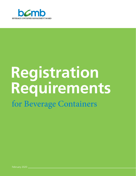

# **Registration Requirements** for Beverage Containers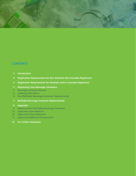

### **CONTENTS**

- **[Introduction](#page-2-0)**
- **[Registration Requirements for Non-Alcoholic Non-Cannabis Registrants](#page-3-0)**
- **Registration Requirements for Alcoholic and/or Cannabis Registrants**
- **[Registering Your Beverage Containers](#page-4-0)**
- Beverage Container Review
- Labeling Information
- [Non-Refillable Beverage Container Registration\(s\)](#page-5-0)
- **[Refillable Beverage Container Registration\(s\)](#page-6-0)**

#### **[Appendix](#page-7-0)**

- [Approved Non-Refillable Beverage Containers](#page-8-0)
- 10 Approved Label Material
- [Approved Closure Material](#page-9-0)
- [Approved Additional Components](#page-10-0)
- **[For Further Assistance](#page-11-0)**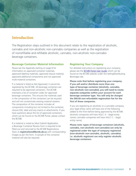<span id="page-2-0"></span>

### **Introduction**

The Registration steps outlined in this document relate to the registration of alcoholic, cannabis and non-alcoholic non-cannabis companies as well as the registration of nonrefillable and refillable alcoholic, cannabis, non-alcoholic non-cannabis beverage containers.

#### **Beverage Container Material Information**

Please see the Appendix starting on page 8 for information on approved container materials, approved labeling materials, approved closure material, approved additional components and not approved multi-material containers.

If a material is listed as *Not Approved*, it cannot be registered by the BCMB. All beverage containers are required to be approved containers. The BCMB maintains a list of container codes for approved beverage containers. This ensures the materials used in the composition of the containers can be recycled and will not contaminate existing material streams. The composition of the container includes all components including but not limited to the container, closure (lid), label and any inserts or attachments. If you have questions about the list of approved containers, which can be found on the BCMB Portal, please contact the BCMB.

If a material is noted as *Must Submit Application*, a Beverage Container Review form is required to be filled out and returned to the BCMB Registrations Team at **registrations@bcmb.ab.ca** with corresponding images as per the form. A sample of the container material will also be required.

#### **Registering Your Company**

For detailed instructions on registering your company, please see the [BCMB Portal User Guide](https://www.bcmb.ab.ca/selling-distributing-beverages/registering-company/) which can be found on the BCMB website under the Selling/Distributing Beverages tab.

**Please note that before registering your company**, **if you sell and/or distribute more than one type of beverage container (alcoholic, cannabis, non-alcoholic non-cannabis), you will need to create separate companies within your account for each beverage container type. You will only be charged the \$60.00 non-refundable registration fee for the first of these companies.**

If you are registering an alcoholic or a cannabis company, your legal entity name will have one of the following added to the front before being approved by the BCMB: alcoholic companies will have AGLC A – (legal entity name); cannabis companies will have AGLC C – (legal entity name).

**Please note: types of beverage containers (alcoholic, cannabis, non-alcoholic non-cannabis) can only be registered under the type of company registered (non-alcoholic non-cannabis, alcoholic, cannabis). I.e. alcoholic registrant can only register alcoholic beverage containers.**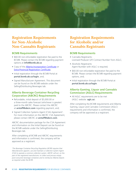<span id="page-3-0"></span>

## **Registration Requirements for Non-Alcoholic Non-Cannabis Registrants**

#### **BCMB Requirements**

- \$60.00 non-refundable registration fee paid to the BCMB. Please contact the BCMB regarding payment options at **info@bcmb.ab.ca**
- Copy of the **Alberta Incorporation Certificate** or [Extra-Provincial Registration Certificate;](https://www.alberta.ca/incorporation-forms.aspx)
- Initial registration through the BCMB Portal at **portal.bcmb.ab.ca/login**, and;
- Signed Manufacturer Agreement. This document can be found on the BCMB website under the Selling/Distributing Beverages tab.

#### **Alberta Beverage Container Recycling Corporation (ABCRC) Requirements**

- Refundable, initial deposit of \$5,000.00 or a three-month sales forecast (whichever is greater) paid to the ABCRC. Please contact the ABCRC at **arstaff@abcrc.com** regarding payment, and;
- Signed Collection Systems Agent (CSA) Agreement<sup>1</sup>. For more information on the ABCRC CSA Agreement, please contact ABCRC at **arstaff@abcrc.com**.

ABCRC documentation package for the CSA Agreement and information on the Initial Deposit can be found on the BCMB website under the Selling/Distributing Beverages tab.

After completing all BCMB and ABCRC requirements and information is confirmed, the company will be approved as a registrant.

<sup>1</sup>The Beverage Container Recycling Regulation (BCRR) requires that *Manufacturers appoint, use and maintain a Collection System Agent (CSA) to operate a common collection system. ABCRC will act, on the part of the registered manufacturer, to collect and process empty post-consumer beverage containers and to reimburse Alberta Depots as required under the BCRR.*

## **Registration Requirements for Alcoholic and/or Cannabis Registrants**

#### **BCMB Requirements**

- Cannabis Registrants: Licensed Producer (LP) Contract Number from AGLC;
- Alcoholic Registrants: Agent Number with AGLC is required;
- \$60.00 non-refundable registration fee paid to the BCMB. Please contact the BCMB regarding payment options, and;
- Initial registration through the BCMB Portal at **portal.bcmb.ab.ca/login**.

#### **Alberta Gaming, Liquor and Cannabis Commission (AGLC) Requirements**

• All AGLC requirements are to be met (AGLC website: **aglc.ca**).

After completing the BCMB requirements and Alberta Gaming, Liquor and Cannabis Commission (AGLC) requirements and information is confirmed, the company will be approved as a registrant.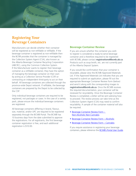<span id="page-4-0"></span>

## **Registering Your Beverage Containers**

Manufacturers can decide whether their container will be registered as non-refillable or refillable. If the beverage container is registered as non-refillable then the BCRR provides that the container is managed by the Collection System Agent (CSA), also known as the Alberta Beverage Container Recycling Corporation (ABCRC), using the Common Collection System. If the Manufacturer wants to register their beverage container as a refillable container, they have the option of managing the beverage container on their own by acting as a Collection Service Provider (CSP) or contracting an independent third-party to act on their behalf. All beverage containers are collected through the province-wide Depot network. If refillable, the beverage containers are prepared by the Depot to be collected by the CSP.

Only individual beverage containers are required to be registered, not packages or cases. In the case of a variety pack, please ensure the individual beverage containers are registered.

All beverage containers differing in brand, flavour, size, material, and/or UPC are required to be registered separately through the BCMB Portal. The BCMB has 10 business days from the date submitted to approve the registrations. For all registrants, the first beverage container registration is free, and each additional registration is \$10.00.

#### **Beverage Container Review**

If you are unsure whether the container you wish to register is considered a ready-to-serve beverage container and is therefore required to be registered with BCMB, please contact **registrations@bcmb.ab.ca**. Products such as soup broth, etc. are not currently part of the Alberta Deposit System.

If you would like confirmation that your container is recyclable, please view the BCMB Approved Materials List. If the Approved Materials List indicates that you are required to submit an application, please fill out the appropriate Beverage Container Review form (below) and send it along with the corresponding images to **registrations@bcmb.ab.ca**. Once the BCMB receives the required documentation, your container will be reviewed for recyclability. Once the Beverage Container Review is completed, a letter will be sent advising how to proceed. The review process can take time as the Collection System Agent (CSA) may need to confirm recyclability. A sample of the container material will also be required.

- Beverage Container Review Form Non-Alcoholic Non-Cannabis
- Beverage Container Review Form Alcoholic
- [Beverage Container Review Form Cannabis](https://www.bcmb.ab.ca/selling-distributing-beverages/registering-beverage-container/)

If you require assistance in registering your beverage containers, please reference the [BCMB's Portal User Guide.](https://www.bcmb.ab.ca/selling-distributing-beverages/registering-beverage-container/)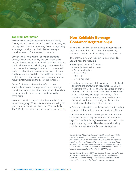<span id="page-5-0"></span>

#### **Labeling Information**

Beverage containers are required to note the brand, flavour, size and material in English. UPC's (barcodes) are not required at this time. However, if you are registering a beverage container and the individual beverage container has a UPC it is required to be noted.

Beverage containers with the above requirements (brand, flavour, size, material, and UPC-if applicable) only on the removeable lid (cap) will be denied. Without the lid, all information including any confirmation that the container is a beverage is removed. In order to sell and/or distribute these beverage containers in Alberta, additional labeling needs to be added to the container itself to meet the requirements (i.e. etching or printing required information on the side of the container).

Return for Refund or Return for Refund Where Applicable notes are not required to be on beverage containers. However, negative connotations of recycling are not allowed, and a container will be denied in those cases.

In order to remain complaint with the Canadian Food Inspection Agency (CFIA), please ensure the labeling on your beverage containers follows the CFIA standards. The CFIA offers an interactive tool designed to assist [here.](https://www.inspection.gc.ca/food-label-requirements/labelling/for-consumers/food-labelling-requirements/eng/1302802599765/1302802702946)

## **Non-Refillable Beverage Container Registration(s)**

All non-refillable beverage containers are required to be registered through the BCMB Portal. First beverage container is free, each additional registration is \$10.00.

To register your non-refillable beverage container(s), you will need the following:

- Beverage Container Information:
	- Brand (in English characters)
	- Flavour (in English)
- Size in Metric
- Material2
- UPC (if applicable)
- Front and back images of the container with the label displaying the brand, flavor, size, material, and UPC. If there is no UPC, please continue to upload an image of the back of the container. If the beverage container is made of plastic, please upload an image of the container noting the recycling symbol and the resin (material) identifier (this is usually molded into the container on the bottom or side bottom $)^3$ .
- Sales start date this is the date you plan to start selling and/or distributing the beverage container in Alberta.

Once submitted, the BCMB will approve all registrations that meet the above requirements within 10 business days from the date the registration was submitted. Upon approval, the registrant will receive an e-mail advising that the beverage container(s) have been approved.

*2 As per Section 16 of the BCRR, non-refillable containers are to be recycled by a method approved by the Beverage Container Management Board. Your beverage will need to be in an approved container prior to registration. Please see the appendix for a list of approved non-refillable beverage containers, label materials, closure materials and additional components. A list of approved containers and their codes can also be found in the BCMB Portal.*

*3 As per Section 6.1 of the BCRR, beverage containers must be labelled in such a way that the type of beverage is easily identifiable (even when the container is empty) and it is clear the container can be returned for a refund of the deposit paid when purchased.*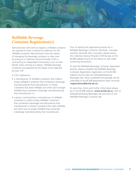<span id="page-6-0"></span>

## **Refillable Beverage Container Registration(s)**

Manufacturers who wish to register a refillable container are required to have a method of collection for the refillable container. Manufacturers have the option of managing the beverage container on their own by acting as a Collection Service Provider (CSP) or contracting an independent third-party to act on their behalf. Upon arriving at a Depot, refillable beverage containers are prepared by the Depot to be collected by their CSP.

A CSP is defined as:

- a manufacturer of refillable containers that collects empty refillable Containers that contained a beverage manufactured by that manufacturer, or empty Containers that were refillable, but which are no longer refillable that contained a beverage manufactured by that manufacturer; or
- a person contracted by a manufacturer of refillable containers to collect empty refillable Containers that contained a beverage manufactured by that manufacturer or empty Containers that were refillable, but which are no longer refillable that contained a beverage manufactured by that manufacturer.

Prior to starting the registration process for a Refillable Beverage Container (Alcoholic, Cannabis and Non-Alcoholic Non-Cannabis), please review the Collection Service Provider (CSP) By-law on the BCMB website found on the About Us Tab under Governing Documents.

To start the Refillable Beverage Container registration process, please complete the Refillable Beverage Container Registration Application on the BCMB website found under the Selling/Distributing Beverages tab. Once completed this package will be submitted to the BCMB Registrations Team via email (**registrations@bcmb.ab.ca**).

To view links, forms and further information please go to the BCMB website: **www.bcmb.ab.ca**, click on Selling/Distributing Beverages tab and click on the Refillable Beverage Container tab.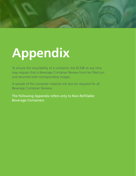<span id="page-7-0"></span>

# **Appendix**

To ensure the recyclability of a container, the BCMB at any time may request that a Beverage Container Review Form be filled out and returned with corresponding images.

A sample of the container material will also be required for all Beverage Container Reviews.

The following Appendix refers only to Non-Refillable Beverage Containers.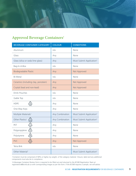<span id="page-8-0"></span>

## **Approved Beverage Containers1**

| <b>BEVERAGE CONTAINER CATEGORY</b>                   | <b>COLOUR</b>   | <b>CONDITIONS</b>                    |
|------------------------------------------------------|-----------------|--------------------------------------|
| Aluminum                                             | n/a             | None                                 |
| Glass                                                | Any             | None                                 |
| Glass (silica or soda lime glass)                    | Any             | Must Submit Application <sup>2</sup> |
| Bag-In-A-Box                                         | n/a             | None                                 |
| <b>Biodegradable Plastic</b>                         | Any             | Not Approved                         |
| <b>Bi-Metal</b>                                      | n/a             | None                                 |
| Ceramics (including clay, porcelain)                 | Any             | Not Approved                         |
| Crystal (lead and non-lead)                          | Any             | Not Approved                         |
| <b>Drink Pouches</b>                                 | n/a             | None                                 |
| Gable Top                                            | n/a             | None                                 |
| <b>HDPE</b><br>ŕ2)                                   | Any             | None                                 |
| One-Way Keys                                         | Any             | None                                 |
| Multiple Materials <sup>1</sup>                      | Any Combination | Must Submit Application <sup>2</sup> |
| Other Plastics <sup>1</sup><br>$\sum_{\text{other}}$ | Any Combination | Must Submit Application <sup>2</sup> |
| $\frac{1}{\sqrt{1}}$<br>PET                          | Any             | None                                 |
| Polypropylene $\sum_{\tiny{\text{PP}}}$              | Any             | None                                 |
| Polystyrene                                          | Any             | None                                 |
| <b>Cole Col</b><br><b>PVC</b>                        | Any             | Not Approved                         |
| Tetra Brik                                           | n/a             | None                                 |
| Other Material <sup>1</sup>                          |                 | Must Submit Application <sup>2</sup> |

<sup>1</sup> Container must be comprised of 98% or higher, by weight, of the category material. Closure, label and any additional *components must also be in compliance.*

*2 A Beverage Container Review form is required to be filled out and returned to the BCMB Registration Team at registrations@bcmb.ab.ca with corresponding images as per the form. If the BCMB requires a sample, we will advise.*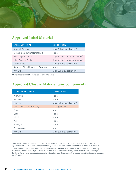<span id="page-9-0"></span>

## **Approved Label Material**

| <b>LABEL MATERIAL</b>               | <b>CONDITIONS</b>                          |
|-------------------------------------|--------------------------------------------|
| <b>Applied Ceramic</b>              | Must Submit Application <sup>2</sup>       |
| Etched (no additional materials)    | None                                       |
| Glue Applied Paper                  | Depends on Container Material <sup>3</sup> |
| Glue Applied Plastic                | Depends on Container Material <sup>3</sup> |
| Shrink-wrap                         | Must Submit Application <sup>2</sup>       |
| Standard Digital Image on Container | None                                       |
| Any Other                           | Must Submit Application <sup>2</sup>       |

*\*Note: Label cannot be removed as part of closure.*

## **Approved Closure Material (any component)**

| <b>CLOSURE MATERIAL</b>     | <b>CONDITIONS</b>                    |
|-----------------------------|--------------------------------------|
| Aluminum                    | None                                 |
| <b>Bi-Metal</b>             | None                                 |
| Ceramic                     | Must Submit Application <sup>2</sup> |
| Crystal (lead and non-lead) | Not Approved                         |
| Cork                        | None                                 |
| Glass                       | None                                 |
| <b>HDPE</b>                 | None                                 |
| PET                         | None                                 |
| Polystyrene                 | None                                 |
| Polypropylene               | None                                 |
| Any Other                   | Must Submit Application <sup>2</sup> |

*2 A Beverage Container Review form is required to be filled out and returned to the BCMB Registration Team at registrations@bcmb.ab.ca with corresponding images as per the form. If the BCMB requires a sample, we will advise.* 

<sup>3</sup> Certain container materials with certain labeling materials cannot be recycled due to the labeling material effecting *the containers recyclability. If you are unsure whether your container meets compliance, please fill out a Beverage Container Review form and send to registrations@bcmb.ab.ca with corresponding images. If the BCMB requires a sample, we will advise.*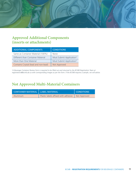<span id="page-10-0"></span>

## **Approved Additional Components (inserts or attachments)**

| <b>ADDITIONAL COMPONENTS</b>         | <b>CONDITIONS</b>                    |  |
|--------------------------------------|--------------------------------------|--|
| Same as Container Material (100%)    | <b>None</b>                          |  |
| Different than Container Material    | Must Submit Application <sup>2</sup> |  |
| More than One Material               | Must Submit Application <sup>2</sup> |  |
| Contains Crystal (lead and non-lead) | Not Approved                         |  |

*2 A Beverage Container Review form is required to be filled out and returned to the BCMB Registration Team at registrations@bcmb.ab.ca with corresponding images as per the form. If the BCMB requires a sample, we will advise.* 

## **Not Approved Multi-Material Containers**

| CONTAINER MATERIAL   LABEL MATERIAL |                                                     | <b>CONDITIONS</b> |
|-------------------------------------|-----------------------------------------------------|-------------------|
| Aluminum                            | Plastic labels affixed with adhesive   Not Approved |                   |